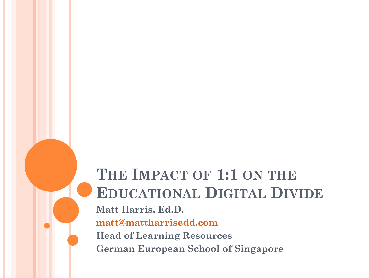### **THE IMPACT OF 1:1 ON THE EDUCATIONAL DIGITAL DIVIDE Matt Harris, Ed.D. [matt@mattharrisedd.com](mailto:matt@mattharrisedd.com) Head of Learning Resources German European School of Singapore**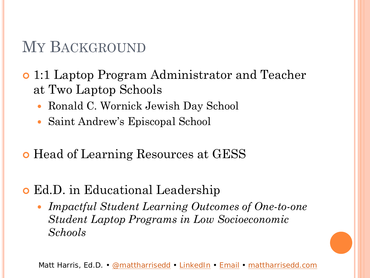### MY BACKGROUND

- 1:1 Laptop Program Administrator and Teacher at Two Laptop Schools
	- Ronald C. Wornick Jewish Day School
	- Saint Andrew's Episcopal School
- **•** Head of Learning Resources at GESS
- Ed.D. in Educational Leadership
	- *Impactful Student Learning Outcomes of One-to-one Student Laptop Programs in Low Socioeconomic Schools*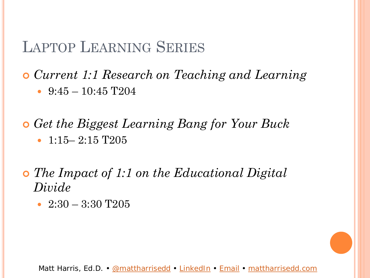### LAPTOP LEARNING SERIES

 *Current 1:1 Research on Teaching and Learning*  $\cdot$  9:45 – 10:45 T204

 *Get the Biggest Learning Bang for Your Buck*  $\cdot$  1:15– 2:15 T205

 *The Impact of 1:1 on the Educational Digital Divide*

• 2:30 – 3:30 T205

Matt Harris, Ed.D. • [@mattharrisedd](https://twitter.com/mattharrisedd) • [LinkedIn](http://j.mp/mattharrisedd) • [Email](mailto:matt@mattharrisedd.com) • [mattharrisedd.com](http://www.mattharrisedd.com)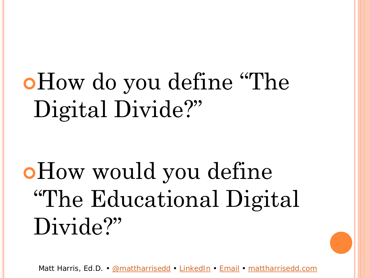# How do you define "The Digital Divide?"

How would you define "The Educational Digital Divide?"

Matt Harris, Ed.D. • [@mattharrisedd](https://twitter.com/mattharrisedd) • [LinkedIn](http://j.mp/mattharrisedd) • [Email](mailto:matt@mattharrisedd.com) • [mattharrisedd.com](http://www.mattharrisedd.com)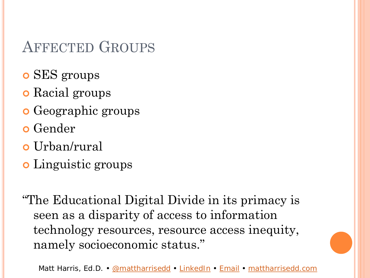### AFFECTED GROUPS

- o SES groups
- **o** Racial groups
- **o** Geographic groups
- **o** Gender
- Urban/rural
- o Linguistic groups

"The Educational Digital Divide in its primacy is seen as a disparity of access to information technology resources, resource access inequity, namely socioeconomic status."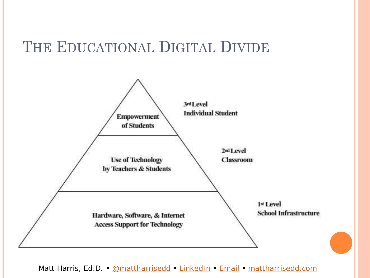### THE EDUCATIONAL DIGITAL DIVIDE

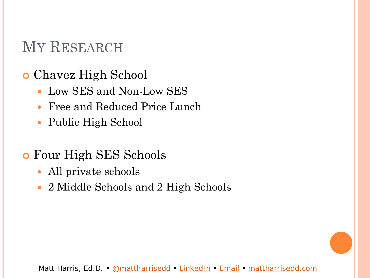### MY RESEARCH

- Chavez High School
	- Low SES and Non-Low SES
	- Free and Reduced Price Lunch
	- Public High School
- Four High SES Schools
	- All private schools
	- 2 Middle Schools and 2 High Schools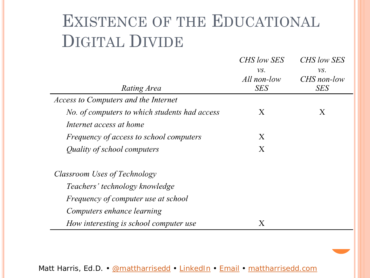# EXISTENCE OF THE EDUCATIONAL DIGITAL DIVIDE

|                                                | CHS low SES | <i>CHS low SES</i> |
|------------------------------------------------|-------------|--------------------|
|                                                | VS.         | VS.                |
|                                                | All non-low | CHS non-low        |
| Rating Area                                    | <b>SES</b>  | <b>SES</b>         |
| <b>Access to Computers and the Internet</b>    |             |                    |
| No. of computers to which students had access  | X           | X                  |
| Internet access at home                        |             |                    |
| <i>Frequency of access to school computers</i> | X           |                    |
| Quality of school computers                    | X           |                    |
| Classroom Uses of Technology                   |             |                    |
| Teachers' technology knowledge                 |             |                    |
| Frequency of computer use at school            |             |                    |
| Computers enhance learning                     |             |                    |
| How interesting is school computer use         | X           |                    |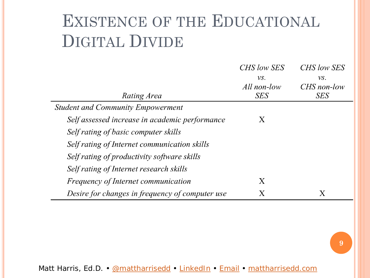# EXISTENCE OF THE EDUCATIONAL DIGITAL DIVIDE

|                                                 | CHS low SES | CHS low SES |
|-------------------------------------------------|-------------|-------------|
|                                                 | VS.         | VS.         |
|                                                 | All non-low | CHS non-low |
| Rating Area                                     | <b>SES</b>  | <b>SES</b>  |
| <b>Student and Community Empowerment</b>        |             |             |
| Self assessed increase in academic performance  | X           |             |
| Self rating of basic computer skills            |             |             |
| Self rating of Internet communication skills    |             |             |
| Self rating of productivity software skills     |             |             |
| Self rating of Internet research skills         |             |             |
| <i>Frequency of Internet communication</i>      | X           |             |
| Desire for changes in frequency of computer use | Χ           | Χ           |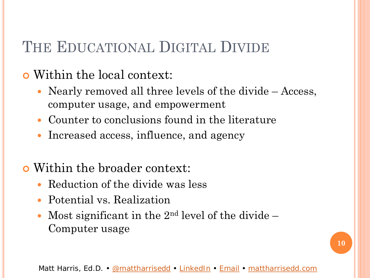### THE EDUCATIONAL DIGITAL DIVIDE

### Within the local context:

- Nearly removed all three levels of the divide Access, computer usage, and empowerment
- Counter to conclusions found in the literature
- Increased access, influence, and agency

### Within the broader context:

- Reduction of the divide was less
- Potential vs. Realization
- Most significant in the  $2<sup>nd</sup>$  level of the divide  $-$ Computer usage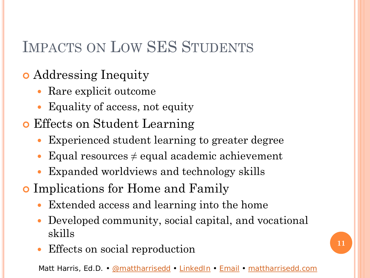### IMPACTS ON LOW SES STUDENTS

### Addressing Inequity

- Rare explicit outcome
- Equality of access, not equity
- Effects on Student Learning
	- Experienced student learning to greater degree
	- Equal resources  $\neq$  equal academic achievement
	- Expanded worldviews and technology skills
- Implications for Home and Family
	- Extended access and learning into the home
	- Developed community, social capital, and vocational skills
	- Effects on social reproduction **11**

Matt Harris, Ed.D. • [@mattharrisedd](https://twitter.com/mattharrisedd) • [LinkedIn](http://j.mp/mattharrisedd) • [Email](mailto:matt@mattharrisedd.com) • [mattharrisedd.com](http://www.mattharrisedd.com)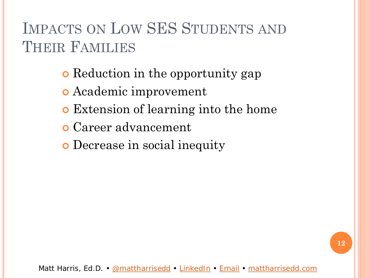### IMPACTS ON LOW SES STUDENTS AND THEIR FAMILIES

**• Reduction in the opportunity gap** 

- Academic improvement
- Extension of learning into the home
- Career advancement
- Decrease in social inequity